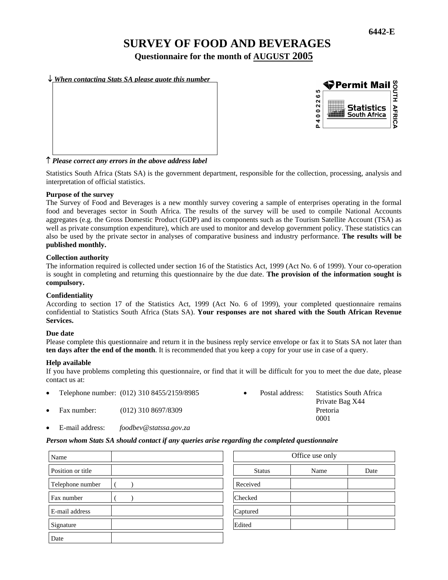# **SURVEY OF FOOD AND BEVERAGES**

**Questionnaire for the month of AUGUST 2005**

↓ *When contacting Stats SA please quote this number*





# ↑ *Please correct any errors in the above address label*

Statistics South Africa (Stats SA) is the government department, responsible for the collection, processing, analysis and interpretation of official statistics.

#### **Purpose of the survey**

The Survey of Food and Beverages is a new monthly survey covering a sample of enterprises operating in the formal food and beverages sector in South Africa. The results of the survey will be used to compile National Accounts aggregates (e.g. the Gross Domestic Product (GDP) and its components such as the Tourism Satellite Account (TSA) as well as private consumption expenditure), which are used to monitor and develop government policy. These statistics can also be used by the private sector in analyses of comparative business and industry performance. **The results will be published monthly.** 

#### **Collection authority**

The information required is collected under section 16 of the Statistics Act, 1999 (Act No. 6 of 1999). Your co-operation is sought in completing and returning this questionnaire by the due date. **The provision of the information sought is compulsory.** 

# **Confidentiality**

According to section 17 of the Statistics Act, 1999 (Act No. 6 of 1999), your completed questionnaire remains confidential to Statistics South Africa (Stats SA). **Your responses are not shared with the South African Revenue Services.** 

#### **Due date**

Please complete this questionnaire and return it in the business reply service envelope or fax it to Stats SA not later than **ten days after the end of the month**. It is recommended that you keep a copy for your use in case of a query.

# **Help available**

If you have problems completing this questionnaire, or find that it will be difficult for you to meet the due date, please contact us at:

- Telephone number: (012) 310 8455/2159/8985 Postal address: Statistics South Africa Private Bag X44 • Fax number: (012) 310 8697/8309 Pretoria
- E-mail address: *foodbev@statssa.gov.za*

#### *Person whom Stats SA should contact if any queries arise regarding the completed questionnaire*

| Name              |               | Office use only |      |  |
|-------------------|---------------|-----------------|------|--|
| Position or title | <b>Status</b> | Name            | Date |  |
| Telephone number  | Received      |                 |      |  |
| Fax number        | Checked       |                 |      |  |
| E-mail address    | Captured      |                 |      |  |
| Signature         | Edited        |                 |      |  |
| Date              |               |                 |      |  |

| Office use only |      |      |  |
|-----------------|------|------|--|
| <b>Status</b>   | Name | Date |  |
| Received        |      |      |  |
| Checked         |      |      |  |
| Captured        |      |      |  |
| Edited          |      |      |  |

0001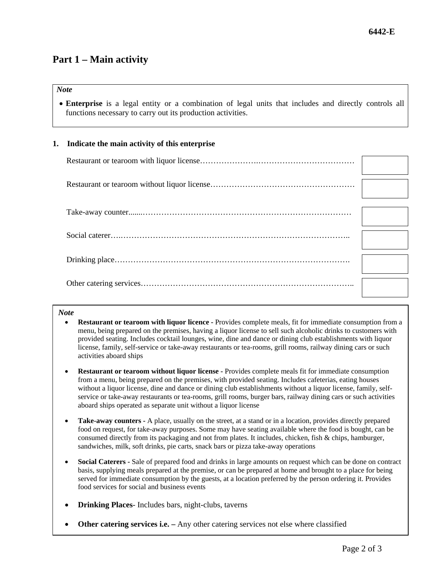# **Part 1 – Main activity**

# *Note*

• **Enterprise** is a legal entity or a combination of legal units that includes and directly controls all functions necessary to carry out its production activities.

# **1. Indicate the main activity of this enterprise**

# *Note*

- **Restaurant or tearoom with liquor licence** Provides complete meals, fit for immediate consumption from a menu, being prepared on the premises, having a liquor license to sell such alcoholic drinks to customers with provided seating. Includes cocktail lounges, wine, dine and dance or dining club establishments with liquor license, family, self-service or take-away restaurants or tea-rooms, grill rooms, railway dining cars or such activities aboard ships
- **Restaurant or tearoom without liquor license** Provides complete meals fit for immediate consumption from a menu, being prepared on the premises, with provided seating. Includes cafeterias, eating houses without a liquor license, dine and dance or dining club establishments without a liquor license, family, selfservice or take-away restaurants or tea-rooms, grill rooms, burger bars, railway dining cars or such activities aboard ships operated as separate unit without a liquor license
- **Take-away counters -** A place, usually on the street, at a stand or in a location, provides directly prepared food on request, for take-away purposes. Some may have seating available where the food is bought, can be consumed directly from its packaging and not from plates. It includes, chicken, fish & chips, hamburger, sandwiches, milk, soft drinks, pie carts, snack bars or pizza take-away operations
- **Social Caterers** Sale of prepared food and drinks in large amounts on request which can be done on contract basis, supplying meals prepared at the premise, or can be prepared at home and brought to a place for being served for immediate consumption by the guests, at a location preferred by the person ordering it. Provides food services for social and business events
- **Drinking Places** Includes bars, night-clubs, taverns
- **Other catering services i.e.** Any other catering services not else where classified